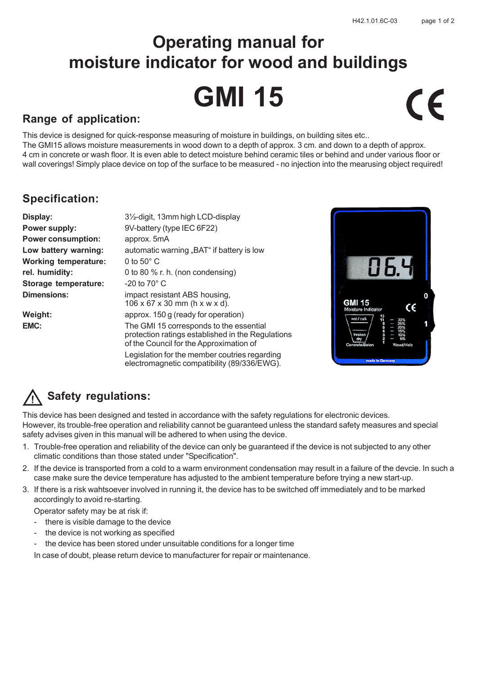# **Operating manual for moisture indicator for wood and buildings GMI 15**  $\epsilon$

### **Range of application:**

This device is designed for quick-response measuring of moisture in buildings, on building sites etc.. The GMI15 allows moisture measurements in wood down to a depth of approx. 3 cm. and down to a depth of approx. 4 cm in concrete or wash floor. It is even able to detect moisture behind ceramic tiles or behind and under various floor or wall coverings! Simply place device on top of the surface to be measured - no injection into the mearusing object required!

## **Specification:**

| Display:                    | 3½-digit, 13mm high LCD-display                                                                                                         |
|-----------------------------|-----------------------------------------------------------------------------------------------------------------------------------------|
| Power supply:               | 9V-battery (type IEC 6F22)                                                                                                              |
| <b>Power consumption:</b>   | approx. 5mA                                                                                                                             |
| Low battery warning:        | automatic warning "BAT" if battery is low                                                                                               |
| <b>Working temperature:</b> | 0 to $50^{\circ}$ C                                                                                                                     |
| rel. humidity:              | 0 to 80 % r. h. (non condensing)                                                                                                        |
| Storage temperature:        | $-20$ to 70 $^{\circ}$ C                                                                                                                |
| <b>Dimensions:</b>          | impact resistant ABS housing,<br>$106 \times 67 \times 30$ mm (h x w x d).                                                              |
| Weight:                     | approx. 150 g (ready for operation)                                                                                                     |
| EMC:                        | The GMI 15 corresponds to the essential<br>protection ratings established in the Regulations<br>of the Council for the Approximation of |

Legislation for the member coutries regarding electromagnetic compatibility (89/336/EWG).



## **Safety regulations:**

This device has been designed and tested in accordance with the safety regulations for electronic devices. However, its trouble-free operation and reliability cannot be guaranteed unless the standard safety measures and special safety advises given in this manual will be adhered to when using the device.

- 1. Trouble-free operation and reliability of the device can only be guaranteed if the device is not subjected to any other climatic conditions than those stated under "Specification".
- 2. If the device is transported from a cold to a warm environment condensation may result in a failure of the devcie. In such a case make sure the device temperature has adjusted to the ambient temperature before trying a new start-up.
- 3. If there is a risk wahtsoever involved in running it, the device has to be switched off immediately and to be marked accordingly to avoid re-starting.

Operator safety may be at risk if:

- there is visible damage to the device
- the device is not working as specified
- the device has been stored under unsuitable conditions for a longer time

In case of doubt, please return device to manufacturer for repair or maintenance.